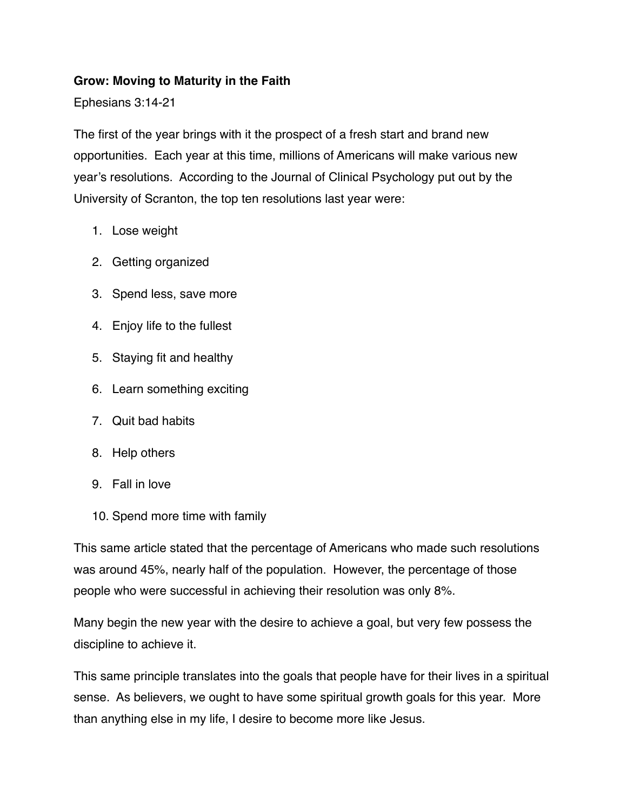#### **Grow: Moving to Maturity in the Faith**

Ephesians 3:14-21

The first of the year brings with it the prospect of a fresh start and brand new opportunities. Each year at this time, millions of Americans will make various new year's resolutions. According to the Journal of Clinical Psychology put out by the University of Scranton, the top ten resolutions last year were:

- 1. Lose weight
- 2. Getting organized
- 3. Spend less, save more
- 4. Enjoy life to the fullest
- 5. Staying fit and healthy
- 6. Learn something exciting
- 7. Quit bad habits
- 8. Help others
- 9. Fall in love
- 10. Spend more time with family

This same article stated that the percentage of Americans who made such resolutions was around 45%, nearly half of the population. However, the percentage of those people who were successful in achieving their resolution was only 8%.

Many begin the new year with the desire to achieve a goal, but very few possess the discipline to achieve it.

This same principle translates into the goals that people have for their lives in a spiritual sense. As believers, we ought to have some spiritual growth goals for this year. More than anything else in my life, I desire to become more like Jesus.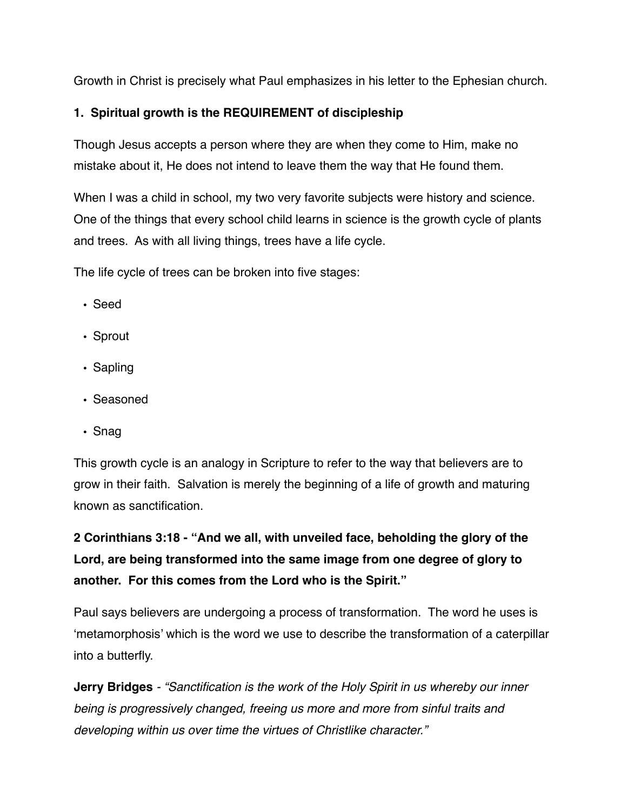Growth in Christ is precisely what Paul emphasizes in his letter to the Ephesian church.

## **1. Spiritual growth is the REQUIREMENT of discipleship**

Though Jesus accepts a person where they are when they come to Him, make no mistake about it, He does not intend to leave them the way that He found them.

When I was a child in school, my two very favorite subjects were history and science. One of the things that every school child learns in science is the growth cycle of plants and trees. As with all living things, trees have a life cycle.

The life cycle of trees can be broken into five stages:

- Seed
- Sprout
- Sapling
- Seasoned
- Snag

This growth cycle is an analogy in Scripture to refer to the way that believers are to grow in their faith. Salvation is merely the beginning of a life of growth and maturing known as sanctification.

**2 Corinthians 3:18 - "And we all, with unveiled face, beholding the glory of the Lord, are being transformed into the same image from one degree of glory to another. For this comes from the Lord who is the Spirit."**

Paul says believers are undergoing a process of transformation. The word he uses is 'metamorphosis' which is the word we use to describe the transformation of a caterpillar into a butterfly.

**Jerry Bridges** *- "Sanctification is the work of the Holy Spirit in us whereby our inner being is progressively changed, freeing us more and more from sinful traits and developing within us over time the virtues of Christlike character."*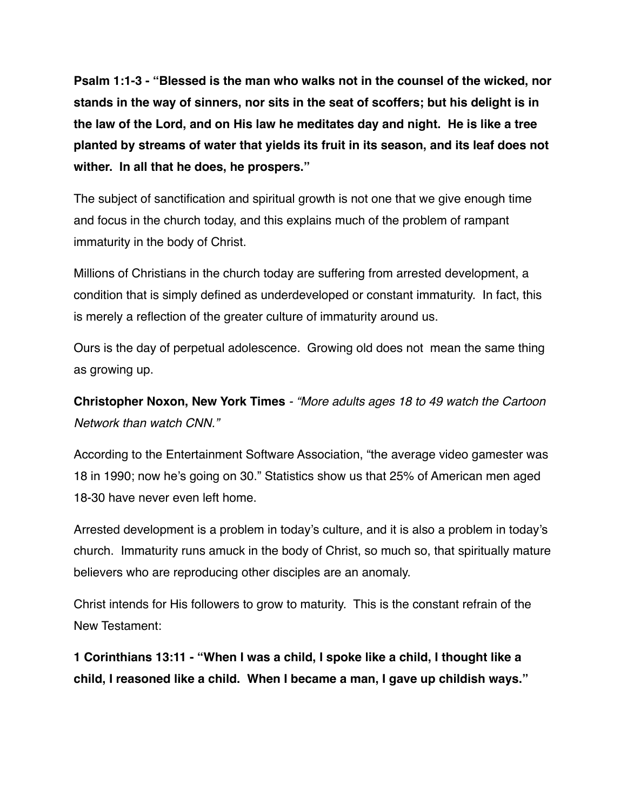**Psalm 1:1-3 - "Blessed is the man who walks not in the counsel of the wicked, nor stands in the way of sinners, nor sits in the seat of scoffers; but his delight is in the law of the Lord, and on His law he meditates day and night. He is like a tree planted by streams of water that yields its fruit in its season, and its leaf does not wither. In all that he does, he prospers."**

The subject of sanctification and spiritual growth is not one that we give enough time and focus in the church today, and this explains much of the problem of rampant immaturity in the body of Christ.

Millions of Christians in the church today are suffering from arrested development, a condition that is simply defined as underdeveloped or constant immaturity. In fact, this is merely a reflection of the greater culture of immaturity around us.

Ours is the day of perpetual adolescence. Growing old does not mean the same thing as growing up.

**Christopher Noxon, New York Times** *- "More adults ages 18 to 49 watch the Cartoon Network than watch CNN."* 

According to the Entertainment Software Association, "the average video gamester was 18 in 1990; now he's going on 30." Statistics show us that 25% of American men aged 18-30 have never even left home.

Arrested development is a problem in today's culture, and it is also a problem in today's church. Immaturity runs amuck in the body of Christ, so much so, that spiritually mature believers who are reproducing other disciples are an anomaly.

Christ intends for His followers to grow to maturity. This is the constant refrain of the New Testament:

**1 Corinthians 13:11 - "When I was a child, I spoke like a child, I thought like a child, I reasoned like a child. When I became a man, I gave up childish ways."**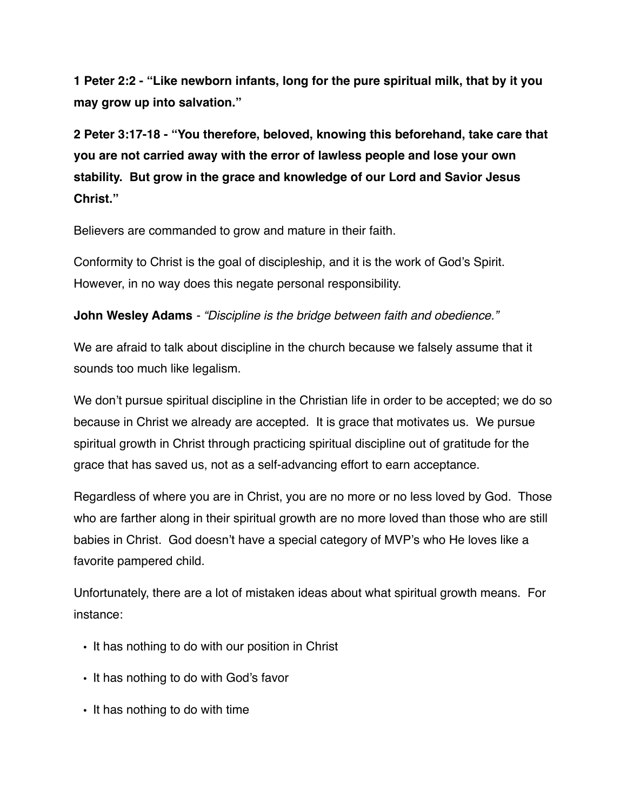**1 Peter 2:2 - "Like newborn infants, long for the pure spiritual milk, that by it you may grow up into salvation."**

**2 Peter 3:17-18 - "You therefore, beloved, knowing this beforehand, take care that you are not carried away with the error of lawless people and lose your own stability. But grow in the grace and knowledge of our Lord and Savior Jesus Christ."**

Believers are commanded to grow and mature in their faith.

Conformity to Christ is the goal of discipleship, and it is the work of God's Spirit. However, in no way does this negate personal responsibility.

**John Wesley Adams** *- "Discipline is the bridge between faith and obedience."*

We are afraid to talk about discipline in the church because we falsely assume that it sounds too much like legalism.

We don't pursue spiritual discipline in the Christian life in order to be accepted; we do so because in Christ we already are accepted. It is grace that motivates us. We pursue spiritual growth in Christ through practicing spiritual discipline out of gratitude for the grace that has saved us, not as a self-advancing effort to earn acceptance.

Regardless of where you are in Christ, you are no more or no less loved by God. Those who are farther along in their spiritual growth are no more loved than those who are still babies in Christ. God doesn't have a special category of MVP's who He loves like a favorite pampered child.

Unfortunately, there are a lot of mistaken ideas about what spiritual growth means. For instance:

- It has nothing to do with our position in Christ
- It has nothing to do with God's favor
- It has nothing to do with time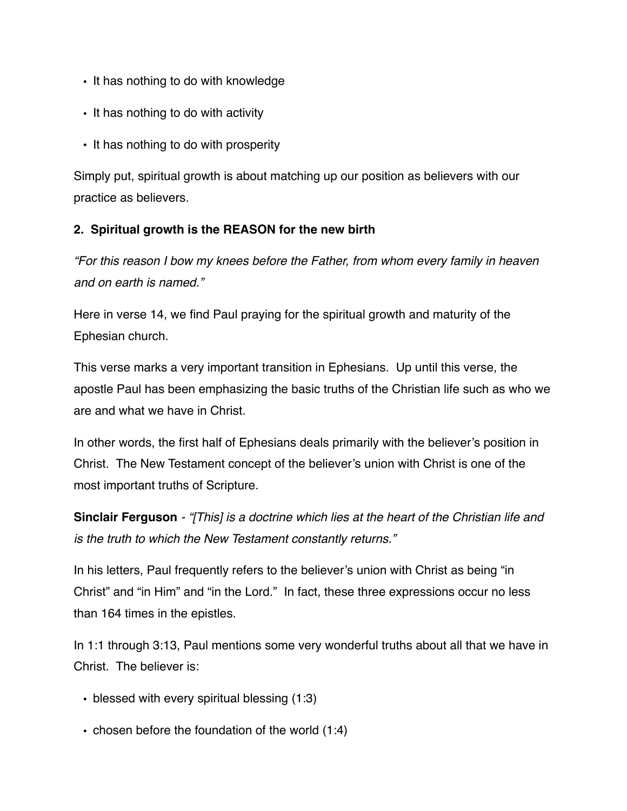- It has nothing to do with knowledge
- It has nothing to do with activity
- It has nothing to do with prosperity

Simply put, spiritual growth is about matching up our position as believers with our practice as believers.

### **2. Spiritual growth is the REASON for the new birth**

*"For this reason I bow my knees before the Father, from whom every family in heaven and on earth is named."*

Here in verse 14, we find Paul praying for the spiritual growth and maturity of the Ephesian church.

This verse marks a very important transition in Ephesians. Up until this verse, the apostle Paul has been emphasizing the basic truths of the Christian life such as who we are and what we have in Christ.

In other words, the first half of Ephesians deals primarily with the believer's position in Christ. The New Testament concept of the believer's union with Christ is one of the most important truths of Scripture.

**Sinclair Ferguson** *- "[This] is a doctrine which lies at the heart of the Christian life and is the truth to which the New Testament constantly returns."* 

In his letters, Paul frequently refers to the believer's union with Christ as being "in Christ" and "in Him" and "in the Lord." In fact, these three expressions occur no less than 164 times in the epistles.

In 1:1 through 3:13, Paul mentions some very wonderful truths about all that we have in Christ. The believer is:

- blessed with every spiritual blessing (1:3)
- chosen before the foundation of the world (1:4)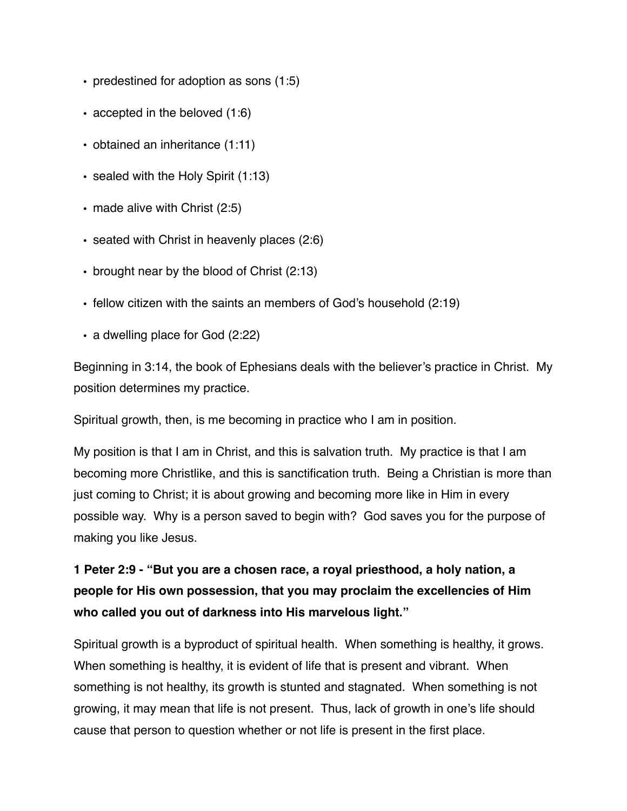- predestined for adoption as sons (1:5)
- accepted in the beloved (1:6)
- obtained an inheritance (1:11)
- sealed with the Holy Spirit (1:13)
- made alive with Christ (2:5)
- seated with Christ in heavenly places (2:6)
- brought near by the blood of Christ (2:13)
- fellow citizen with the saints an members of God's household (2:19)
- a dwelling place for God (2:22)

Beginning in 3:14, the book of Ephesians deals with the believer's practice in Christ. My position determines my practice.

Spiritual growth, then, is me becoming in practice who I am in position.

My position is that I am in Christ, and this is salvation truth. My practice is that I am becoming more Christlike, and this is sanctification truth. Being a Christian is more than just coming to Christ; it is about growing and becoming more like in Him in every possible way. Why is a person saved to begin with? God saves you for the purpose of making you like Jesus.

**1 Peter 2:9 - "But you are a chosen race, a royal priesthood, a holy nation, a people for His own possession, that you may proclaim the excellencies of Him who called you out of darkness into His marvelous light."**

Spiritual growth is a byproduct of spiritual health. When something is healthy, it grows. When something is healthy, it is evident of life that is present and vibrant. When something is not healthy, its growth is stunted and stagnated. When something is not growing, it may mean that life is not present. Thus, lack of growth in one's life should cause that person to question whether or not life is present in the first place.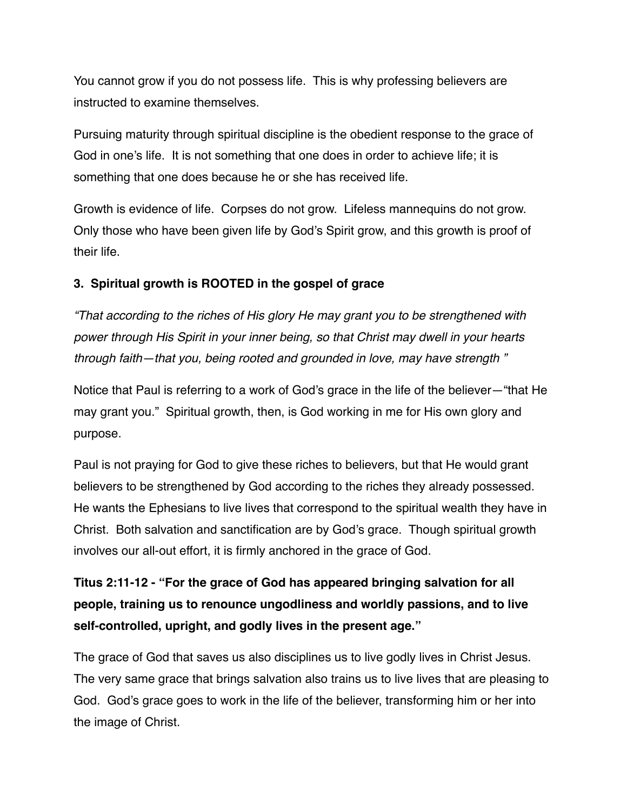You cannot grow if you do not possess life. This is why professing believers are instructed to examine themselves.

Pursuing maturity through spiritual discipline is the obedient response to the grace of God in one's life. It is not something that one does in order to achieve life; it is something that one does because he or she has received life.

Growth is evidence of life. Corpses do not grow. Lifeless mannequins do not grow. Only those who have been given life by God's Spirit grow, and this growth is proof of their life.

### **3. Spiritual growth is ROOTED in the gospel of grace**

*"That according to the riches of His glory He may grant you to be strengthened with power through His Spirit in your inner being, so that Christ may dwell in your hearts through faith—that you, being rooted and grounded in love, may have strength "*

Notice that Paul is referring to a work of God's grace in the life of the believer—"that He may grant you." Spiritual growth, then, is God working in me for His own glory and purpose.

Paul is not praying for God to give these riches to believers, but that He would grant believers to be strengthened by God according to the riches they already possessed. He wants the Ephesians to live lives that correspond to the spiritual wealth they have in Christ. Both salvation and sanctification are by God's grace. Though spiritual growth involves our all-out effort, it is firmly anchored in the grace of God.

**Titus 2:11-12 - "For the grace of God has appeared bringing salvation for all people, training us to renounce ungodliness and worldly passions, and to live self-controlled, upright, and godly lives in the present age."**

The grace of God that saves us also disciplines us to live godly lives in Christ Jesus. The very same grace that brings salvation also trains us to live lives that are pleasing to God. God's grace goes to work in the life of the believer, transforming him or her into the image of Christ.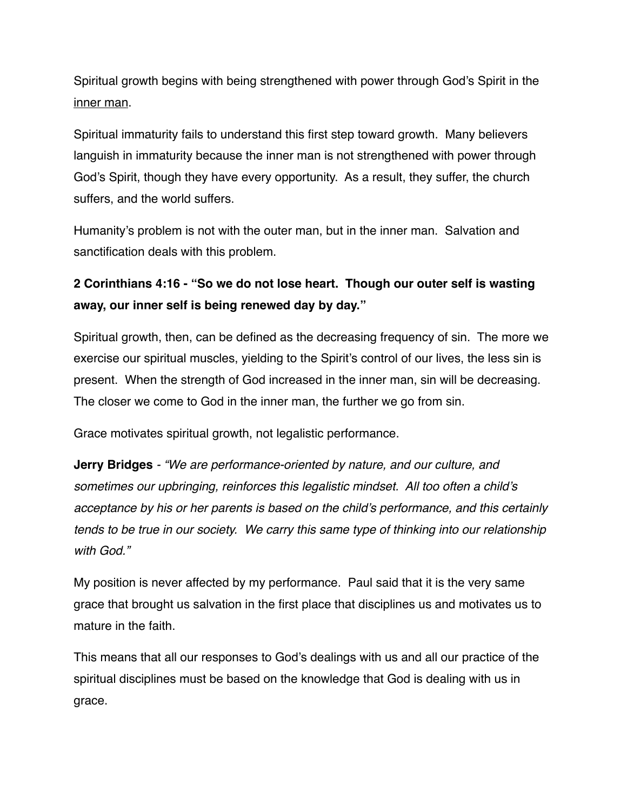Spiritual growth begins with being strengthened with power through God's Spirit in the inner man.

Spiritual immaturity fails to understand this first step toward growth. Many believers languish in immaturity because the inner man is not strengthened with power through God's Spirit, though they have every opportunity. As a result, they suffer, the church suffers, and the world suffers.

Humanity's problem is not with the outer man, but in the inner man. Salvation and sanctification deals with this problem.

# **2 Corinthians 4:16 - "So we do not lose heart. Though our outer self is wasting away, our inner self is being renewed day by day."**

Spiritual growth, then, can be defined as the decreasing frequency of sin. The more we exercise our spiritual muscles, yielding to the Spirit's control of our lives, the less sin is present. When the strength of God increased in the inner man, sin will be decreasing. The closer we come to God in the inner man, the further we go from sin.

Grace motivates spiritual growth, not legalistic performance.

**Jerry Bridges** *- "We are performance-oriented by nature, and our culture, and sometimes our upbringing, reinforces this legalistic mindset. All too often a child's acceptance by his or her parents is based on the child's performance, and this certainly tends to be true in our society. We carry this same type of thinking into our relationship with God."* 

My position is never affected by my performance. Paul said that it is the very same grace that brought us salvation in the first place that disciplines us and motivates us to mature in the faith.

This means that all our responses to God's dealings with us and all our practice of the spiritual disciplines must be based on the knowledge that God is dealing with us in grace.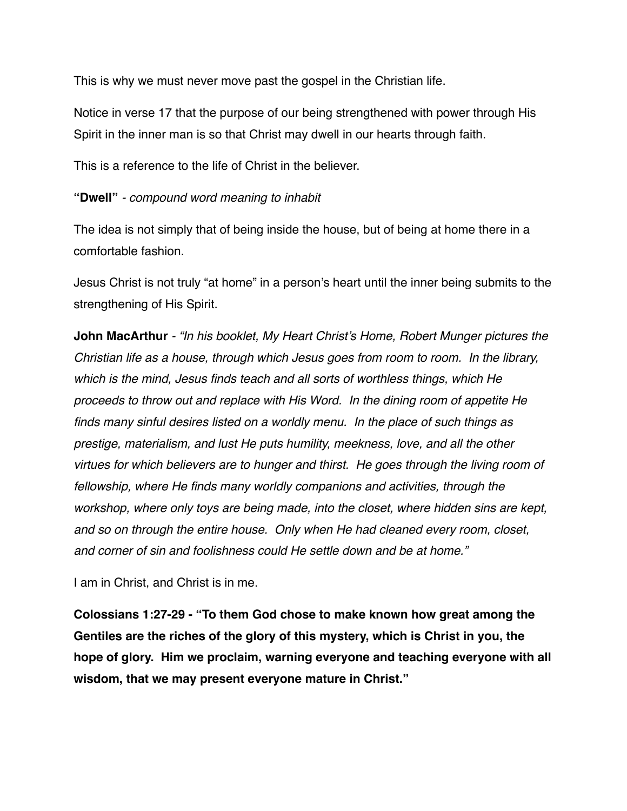This is why we must never move past the gospel in the Christian life.

Notice in verse 17 that the purpose of our being strengthened with power through His Spirit in the inner man is so that Christ may dwell in our hearts through faith.

This is a reference to the life of Christ in the believer.

#### **"Dwell"** *- compound word meaning to inhabit*

The idea is not simply that of being inside the house, but of being at home there in a comfortable fashion.

Jesus Christ is not truly "at home" in a person's heart until the inner being submits to the strengthening of His Spirit.

**John MacArthur** *- "In his booklet, My Heart Christ's Home, Robert Munger pictures the Christian life as a house, through which Jesus goes from room to room. In the library, which is the mind, Jesus finds teach and all sorts of worthless things, which He proceeds to throw out and replace with His Word. In the dining room of appetite He finds many sinful desires listed on a worldly menu. In the place of such things as prestige, materialism, and lust He puts humility, meekness, love, and all the other virtues for which believers are to hunger and thirst. He goes through the living room of fellowship, where He finds many worldly companions and activities, through the workshop, where only toys are being made, into the closet, where hidden sins are kept, and so on through the entire house. Only when He had cleaned every room, closet, and corner of sin and foolishness could He settle down and be at home."* 

I am in Christ, and Christ is in me.

**Colossians 1:27-29 - "To them God chose to make known how great among the Gentiles are the riches of the glory of this mystery, which is Christ in you, the hope of glory. Him we proclaim, warning everyone and teaching everyone with all wisdom, that we may present everyone mature in Christ."**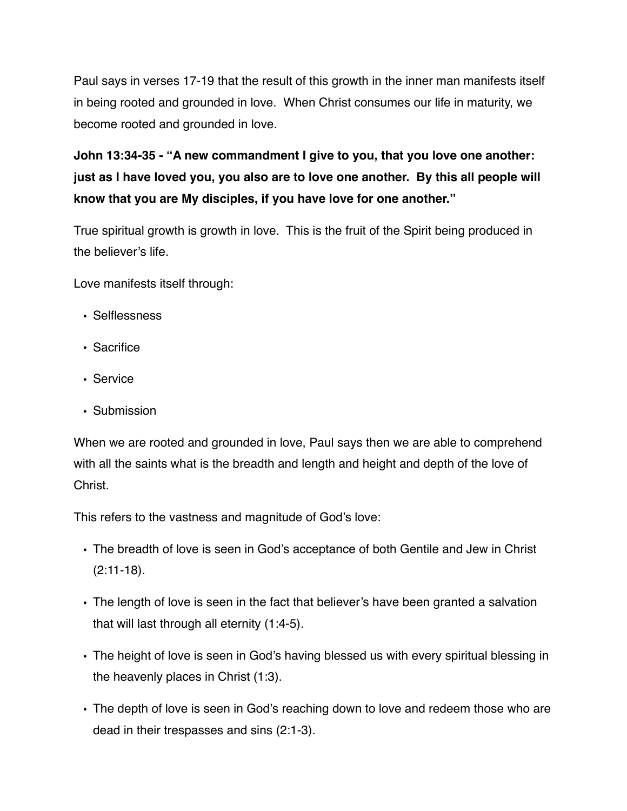Paul says in verses 17-19 that the result of this growth in the inner man manifests itself in being rooted and grounded in love. When Christ consumes our life in maturity, we become rooted and grounded in love.

**John 13:34-35 - "A new commandment I give to you, that you love one another: just as I have loved you, you also are to love one another. By this all people will know that you are My disciples, if you have love for one another."**

True spiritual growth is growth in love. This is the fruit of the Spirit being produced in the believer's life.

Love manifests itself through:

- Selflessness
- Sacrifice
- Service
- Submission

When we are rooted and grounded in love, Paul says then we are able to comprehend with all the saints what is the breadth and length and height and depth of the love of Christ.

This refers to the vastness and magnitude of God's love:

- The breadth of love is seen in God's acceptance of both Gentile and Jew in Christ (2:11-18).
- The length of love is seen in the fact that believer's have been granted a salvation that will last through all eternity (1:4-5).
- The height of love is seen in God's having blessed us with every spiritual blessing in the heavenly places in Christ (1:3).
- The depth of love is seen in God's reaching down to love and redeem those who are dead in their trespasses and sins (2:1-3).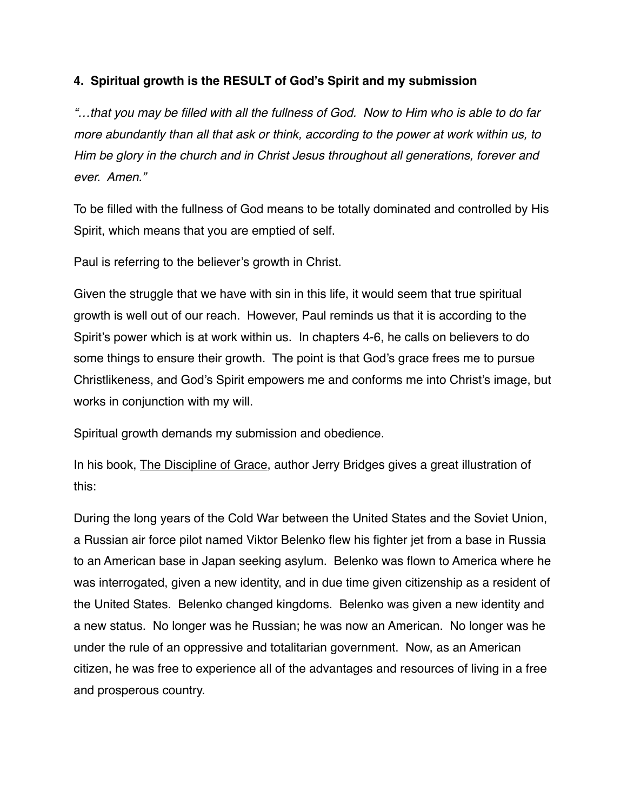#### **4. Spiritual growth is the RESULT of God's Spirit and my submission**

*"…that you may be filled with all the fullness of God. Now to Him who is able to do far more abundantly than all that ask or think, according to the power at work within us, to Him be glory in the church and in Christ Jesus throughout all generations, forever and ever. Amen."*

To be filled with the fullness of God means to be totally dominated and controlled by His Spirit, which means that you are emptied of self.

Paul is referring to the believer's growth in Christ.

Given the struggle that we have with sin in this life, it would seem that true spiritual growth is well out of our reach. However, Paul reminds us that it is according to the Spirit's power which is at work within us. In chapters 4-6, he calls on believers to do some things to ensure their growth. The point is that God's grace frees me to pursue Christlikeness, and God's Spirit empowers me and conforms me into Christ's image, but works in conjunction with my will.

Spiritual growth demands my submission and obedience.

In his book, The Discipline of Grace, author Jerry Bridges gives a great illustration of this:

During the long years of the Cold War between the United States and the Soviet Union, a Russian air force pilot named Viktor Belenko flew his fighter jet from a base in Russia to an American base in Japan seeking asylum. Belenko was flown to America where he was interrogated, given a new identity, and in due time given citizenship as a resident of the United States. Belenko changed kingdoms. Belenko was given a new identity and a new status. No longer was he Russian; he was now an American. No longer was he under the rule of an oppressive and totalitarian government. Now, as an American citizen, he was free to experience all of the advantages and resources of living in a free and prosperous country.